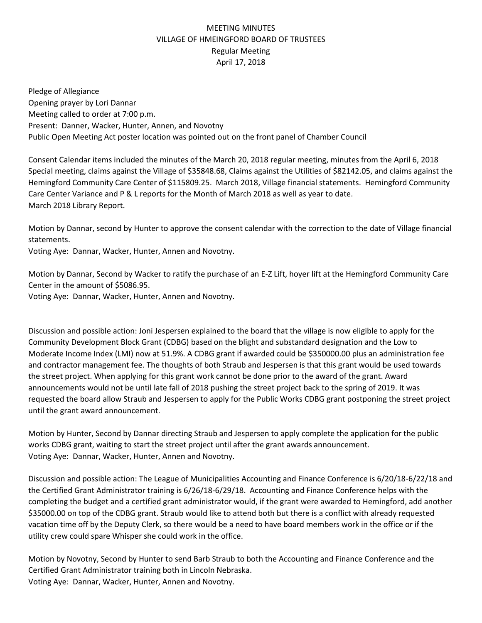## MEETING MINUTES VILLAGE OF HMEINGFORD BOARD OF TRUSTEES Regular Meeting April 17, 2018

Pledge of Allegiance Opening prayer by Lori Dannar Meeting called to order at 7:00 p.m. Present: Danner, Wacker, Hunter, Annen, and Novotny Public Open Meeting Act poster location was pointed out on the front panel of Chamber Council

Consent Calendar items included the minutes of the March 20, 2018 regular meeting, minutes from the April 6, 2018 Special meeting, claims against the Village of \$35848.68, Claims against the Utilities of \$82142.05, and claims against the Hemingford Community Care Center of \$115809.25.March 2018, Village financial statements. Hemingford Community Care Center Variance and P & L reports for the Month of March 2018 as well as year to date. March 2018 Library Report.

Motion by Dannar, second by Hunter to approve the consent calendar with the correction to the date of Village financial statements.

Voting Aye: Dannar, Wacker, Hunter, Annen and Novotny.

Motion by Dannar, Second by Wacker to ratify the purchase of an E-Z Lift, hoyer lift at the Hemingford Community Care Center in the amount of \$5086.95.

Voting Aye: Dannar, Wacker, Hunter, Annen and Novotny.

Discussion and possible action: Joni Jespersen explained to the board that the village is now eligible to apply for the Community Development Block Grant (CDBG) based on the blight and substandard designation and the Low to Moderate Income Index (LMI) now at 51.9%. A CDBG grant if awarded could be \$350000.00 plus an administration fee and contractor management fee. The thoughts of both Straub and Jespersen is that this grant would be used towards the street project. When applying for this grant work cannot be done prior to the award of the grant. Award announcements would not be until late fall of 2018 pushing the street project back to the spring of 2019. It was requested the board allow Straub and Jespersen to apply for the Public Works CDBG grant postponing the street project until the grant award announcement.

Motion by Hunter, Second by Dannar directing Straub and Jespersen to apply complete the application for the public works CDBG grant, waiting to start the street project until after the grant awards announcement. Voting Aye: Dannar, Wacker, Hunter, Annen and Novotny.

Discussion and possible action: The League of Municipalities Accounting and Finance Conference is 6/20/18-6/22/18 and the Certified Grant Administrator training is 6/26/18-6/29/18. Accounting and Finance Conference helps with the completing the budget and a certified grant administrator would, if the grant were awarded to Hemingford, add another \$35000.00 on top of the CDBG grant. Straub would like to attend both but there is a conflict with already requested vacation time off by the Deputy Clerk, so there would be a need to have board members work in the office or if the utility crew could spare Whisper she could work in the office.

Motion by Novotny, Second by Hunter to send Barb Straub to both the Accounting and Finance Conference and the Certified Grant Administrator training both in Lincoln Nebraska. Voting Aye: Dannar, Wacker, Hunter, Annen and Novotny.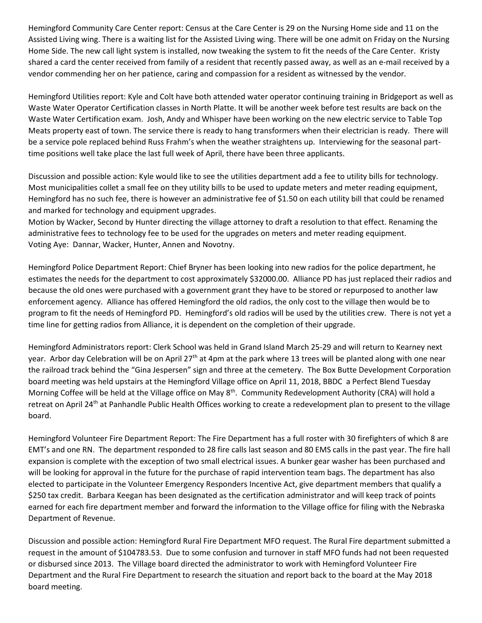Hemingford Community Care Center report: Census at the Care Center is 29 on the Nursing Home side and 11 on the Assisted Living wing. There is a waiting list for the Assisted Living wing. There will be one admit on Friday on the Nursing Home Side. The new call light system is installed, now tweaking the system to fit the needs of the Care Center. Kristy shared a card the center received from family of a resident that recently passed away, as well as an e-mail received by a vendor commending her on her patience, caring and compassion for a resident as witnessed by the vendor.

Hemingford Utilities report: Kyle and Colt have both attended water operator continuing training in Bridgeport as well as Waste Water Operator Certification classes in North Platte. It will be another week before test results are back on the Waste Water Certification exam. Josh, Andy and Whisper have been working on the new electric service to Table Top Meats property east of town. The service there is ready to hang transformers when their electrician is ready. There will be a service pole replaced behind Russ Frahm's when the weather straightens up. Interviewing for the seasonal parttime positions well take place the last full week of April, there have been three applicants.

Discussion and possible action: Kyle would like to see the utilities department add a fee to utility bills for technology. Most municipalities collet a small fee on they utility bills to be used to update meters and meter reading equipment, Hemingford has no such fee, there is however an administrative fee of \$1.50 on each utility bill that could be renamed and marked for technology and equipment upgrades.

Motion by Wacker, Second by Hunter directing the village attorney to draft a resolution to that effect. Renaming the administrative fees to technology fee to be used for the upgrades on meters and meter reading equipment. Voting Aye: Dannar, Wacker, Hunter, Annen and Novotny.

Hemingford Police Department Report: Chief Bryner has been looking into new radios for the police department, he estimates the needs for the department to cost approximately \$32000.00. Alliance PD has just replaced their radios and because the old ones were purchased with a government grant they have to be stored or repurposed to another law enforcement agency. Alliance has offered Hemingford the old radios, the only cost to the village then would be to program to fit the needs of Hemingford PD. Hemingford's old radios will be used by the utilities crew. There is not yet a time line for getting radios from Alliance, it is dependent on the completion of their upgrade.

Hemingford Administrators report: Clerk School was held in Grand Island March 25-29 and will return to Kearney next year. Arbor day Celebration will be on April 27<sup>th</sup> at 4pm at the park where 13 trees will be planted along with one near the railroad track behind the "Gina Jespersen" sign and three at the cemetery. The Box Butte Development Corporation board meeting was held upstairs at the Hemingford Village office on April 11, 2018, BBDC a Perfect Blend Tuesday Morning Coffee will be held at the Village office on May 8<sup>th</sup>. Community Redevelopment Authority (CRA) will hold a retreat on April 24<sup>th</sup> at Panhandle Public Health Offices working to create a redevelopment plan to present to the village board.

Hemingford Volunteer Fire Department Report: The Fire Department has a full roster with 30 firefighters of which 8 are EMT's and one RN. The department responded to 28 fire calls last season and 80 EMS calls in the past year. The fire hall expansion is complete with the exception of two small electrical issues. A bunker gear washer has been purchased and will be looking for approval in the future for the purchase of rapid intervention team bags. The department has also elected to participate in the Volunteer Emergency Responders Incentive Act, give department members that qualify a \$250 tax credit. Barbara Keegan has been designated as the certification administrator and will keep track of points earned for each fire department member and forward the information to the Village office for filing with the Nebraska Department of Revenue.

Discussion and possible action: Hemingford Rural Fire Department MFO request. The Rural Fire department submitted a request in the amount of \$104783.53. Due to some confusion and turnover in staff MFO funds had not been requested or disbursed since 2013. The Village board directed the administrator to work with Hemingford Volunteer Fire Department and the Rural Fire Department to research the situation and report back to the board at the May 2018 board meeting.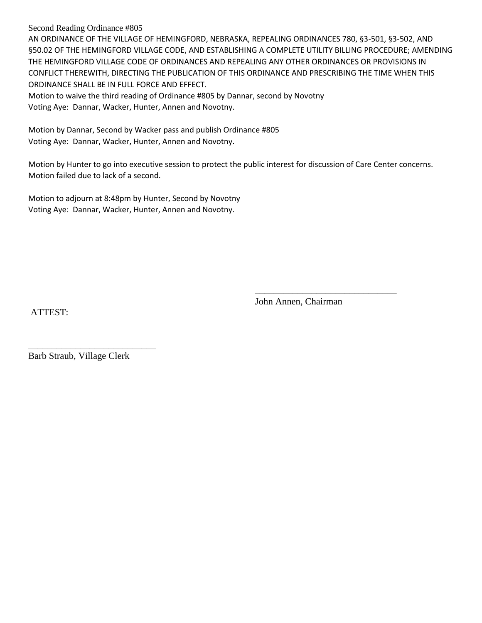Second Reading Ordinance #805

AN ORDINANCE OF THE VILLAGE OF HEMINGFORD, NEBRASKA, REPEALING ORDINANCES 780, §3-501, §3-502, AND §50.02 OF THE HEMINGFORD VILLAGE CODE, AND ESTABLISHING A COMPLETE UTILITY BILLING PROCEDURE; AMENDING THE HEMINGFORD VILLAGE CODE OF ORDINANCES AND REPEALING ANY OTHER ORDINANCES OR PROVISIONS IN CONFLICT THEREWITH, DIRECTING THE PUBLICATION OF THIS ORDINANCE AND PRESCRIBING THE TIME WHEN THIS ORDINANCE SHALL BE IN FULL FORCE AND EFFECT.

Motion to waive the third reading of Ordinance #805 by Dannar, second by Novotny Voting Aye: Dannar, Wacker, Hunter, Annen and Novotny.

Motion by Dannar, Second by Wacker pass and publish Ordinance #805 Voting Aye: Dannar, Wacker, Hunter, Annen and Novotny.

Motion by Hunter to go into executive session to protect the public interest for discussion of Care Center concerns. Motion failed due to lack of a second.

Motion to adjourn at 8:48pm by Hunter, Second by Novotny Voting Aye: Dannar, Wacker, Hunter, Annen and Novotny.

ATTEST:

John Annen, Chairman

\_\_\_\_\_\_\_\_\_\_\_\_\_\_\_\_\_\_\_\_\_\_\_\_\_\_\_\_\_\_

\_\_\_\_\_\_\_\_\_\_\_\_\_\_\_\_\_\_\_\_\_\_\_\_\_\_\_ Barb Straub, Village Clerk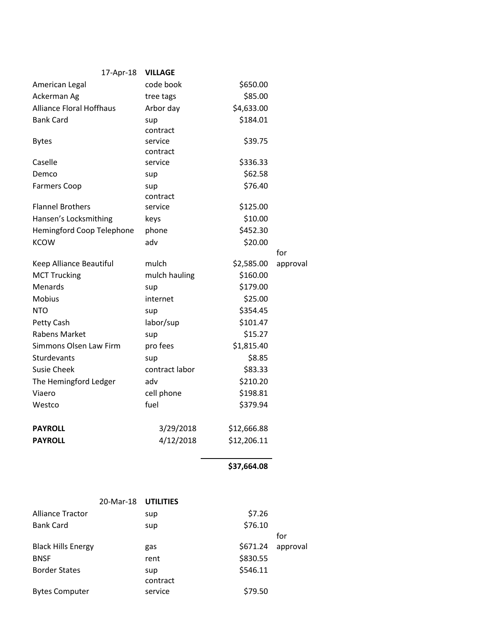| 17-Apr-18                       | <b>VILLAGE</b>        |             |          |
|---------------------------------|-----------------------|-------------|----------|
| American Legal                  | code book             | \$650.00    |          |
| Ackerman Ag                     | tree tags             | \$85.00     |          |
| <b>Alliance Floral Hoffhaus</b> | Arbor day             | \$4,633.00  |          |
| <b>Bank Card</b>                | sup                   | \$184.01    |          |
|                                 | contract              |             |          |
| <b>Bytes</b>                    | service               | \$39.75     |          |
|                                 | contract              |             |          |
| Caselle                         | service               | \$336.33    |          |
| Demco                           | sup                   | \$62.58     |          |
| <b>Farmers Coop</b>             | sup                   | \$76.40     |          |
|                                 | contract              |             |          |
| <b>Flannel Brothers</b>         | service               | \$125.00    |          |
| Hansen's Locksmithing           | keys                  | \$10.00     |          |
| Hemingford Coop Telephone       | phone                 | \$452.30    |          |
| <b>KCOW</b>                     | adv                   | \$20.00     | for      |
| Keep Alliance Beautiful         | mulch                 | \$2,585.00  | approval |
| <b>MCT Trucking</b>             | mulch hauling         | \$160.00    |          |
| <b>Menards</b>                  | sup                   | \$179.00    |          |
| <b>Mobius</b>                   | internet              | \$25.00     |          |
| <b>NTO</b>                      |                       | \$354.45    |          |
| Petty Cash                      | sup                   | \$101.47    |          |
| <b>Rabens Market</b>            | labor/sup             | \$15.27     |          |
| Simmons Olsen Law Firm          | sup<br>pro fees       | \$1,815.40  |          |
| Sturdevants                     |                       | \$8.85      |          |
| <b>Susie Cheek</b>              | sup<br>contract labor | \$83.33     |          |
|                                 |                       |             |          |
| The Hemingford Ledger           | adv                   | \$210.20    |          |
| Viaero                          | cell phone            | \$198.81    |          |
| Westco                          | fuel                  | \$379.94    |          |
| <b>PAYROLL</b>                  | 3/29/2018             | \$12,666.88 |          |
| <b>PAYROLL</b>                  | 4/12/2018             | \$12,206.11 |          |
|                                 |                       |             |          |

**\$37,664.08** 

|                           | 20-Mar-18 UTILITIES |          |          |          |
|---------------------------|---------------------|----------|----------|----------|
| <b>Alliance Tractor</b>   |                     | sup      | \$7.26   |          |
| <b>Bank Card</b>          |                     | sup      | \$76.10  |          |
|                           |                     |          |          | for      |
| <b>Black Hills Energy</b> |                     | gas      | \$671.24 | approval |
| <b>BNSF</b>               |                     | rent     | \$830.55 |          |
| <b>Border States</b>      |                     | sup      | \$546.11 |          |
|                           |                     | contract |          |          |
| <b>Bytes Computer</b>     |                     | service  | \$79.50  |          |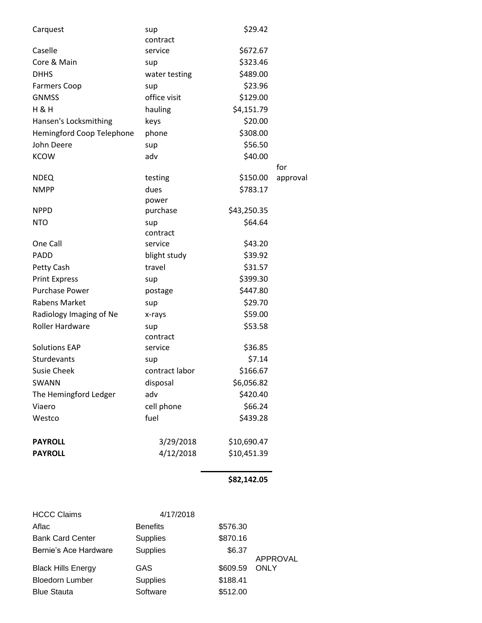| Carquest                  | sup            | \$29.42     |          |
|---------------------------|----------------|-------------|----------|
|                           | contract       |             |          |
| Caselle                   | service        | \$672.67    |          |
| Core & Main               | sup            | \$323.46    |          |
| <b>DHHS</b>               | water testing  | \$489.00    |          |
| <b>Farmers Coop</b>       | sup            | \$23.96     |          |
| <b>GNMSS</b>              | office visit   | \$129.00    |          |
| H & H                     | hauling        | \$4,151.79  |          |
| Hansen's Locksmithing     | keys           | \$20.00     |          |
| Hemingford Coop Telephone | phone          | \$308.00    |          |
| John Deere                | sup            | \$56.50     |          |
| <b>KCOW</b>               | adv            | \$40.00     |          |
|                           |                |             | for      |
| <b>NDEQ</b>               | testing        | \$150.00    | approval |
| <b>NMPP</b>               | dues           | \$783.17    |          |
|                           | power          |             |          |
| <b>NPPD</b>               | purchase       | \$43,250.35 |          |
| <b>NTO</b>                | sup            | \$64.64     |          |
|                           | contract       |             |          |
| One Call                  | service        | \$43.20     |          |
| PADD                      | blight study   | \$39.92     |          |
| Petty Cash                | travel         | \$31.57     |          |
| <b>Print Express</b>      | sup            | \$399.30    |          |
| <b>Purchase Power</b>     | postage        | \$447.80    |          |
| Rabens Market             | sup            | \$29.70     |          |
| Radiology Imaging of Ne   | x-rays         | \$59.00     |          |
| <b>Roller Hardware</b>    | sup            | \$53.58     |          |
| <b>Solutions EAP</b>      | contract       |             |          |
| <b>Sturdevants</b>        | service        | \$36.85     |          |
|                           | sup            | \$7.14      |          |
| <b>Susie Cheek</b>        | contract labor | \$166.67    |          |
| <b>SWANN</b>              | disposal       | \$6,056.82  |          |
| The Hemingford Ledger     | adv            | \$420.40    |          |
| Viaero                    | cell phone     | \$66.24     |          |
| Westco                    | fuel           | \$439.28    |          |
| <b>PAYROLL</b>            | 3/29/2018      | \$10,690.47 |          |
| <b>PAYROLL</b>            | 4/12/2018      | \$10,451.39 |          |

## **\$82,142.05**

| <b>HCCC Claims</b>        | 4/17/2018       |          |          |
|---------------------------|-----------------|----------|----------|
| Aflac                     | <b>Benefits</b> | \$576.30 |          |
| <b>Bank Card Center</b>   | <b>Supplies</b> | \$870.16 |          |
| Bernie's Ace Hardware     | <b>Supplies</b> | \$6.37   | APPROVAL |
| <b>Black Hills Energy</b> | GAS             | \$609.59 | ONLY     |
| <b>Bloedorn Lumber</b>    | <b>Supplies</b> | \$188.41 |          |
| <b>Blue Stauta</b>        | Software        | \$512.00 |          |